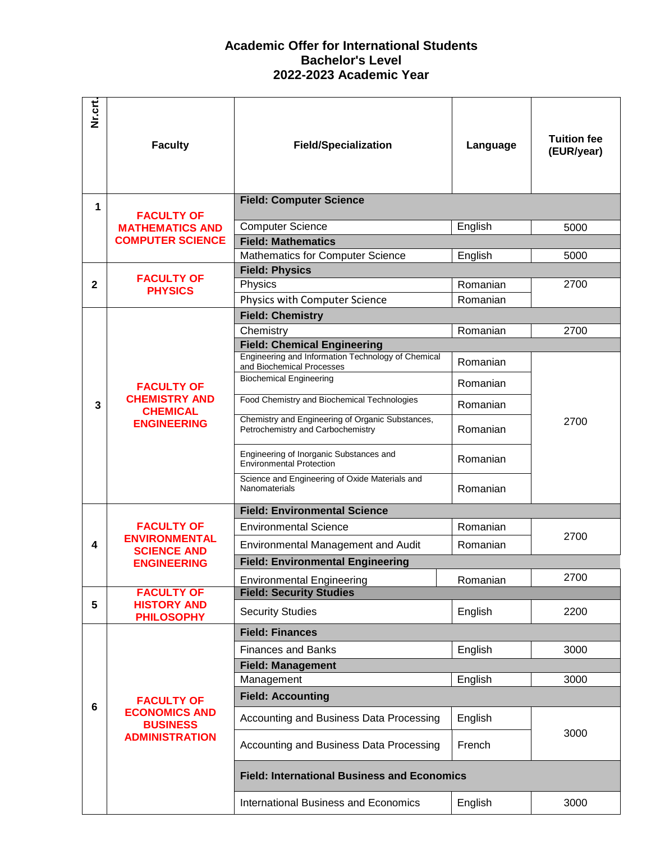## **Academic Offer for International Students Bachelor's Level 2022-2023 Academic Year**

| Nr.crt.      | <b>Faculty</b>                                                                        | <b>Field/Specialization</b>                                                              | Language | <b>Tuition fee</b><br>(EUR/year) |
|--------------|---------------------------------------------------------------------------------------|------------------------------------------------------------------------------------------|----------|----------------------------------|
|              |                                                                                       |                                                                                          |          |                                  |
| 1            | <b>FACULTY OF</b>                                                                     | <b>Field: Computer Science</b>                                                           |          |                                  |
|              | <b>MATHEMATICS AND</b><br><b>COMPUTER SCIENCE</b>                                     | <b>Computer Science</b>                                                                  | English  | 5000                             |
|              |                                                                                       | <b>Field: Mathematics</b>                                                                |          |                                  |
|              |                                                                                       | <b>Mathematics for Computer Science</b>                                                  | English  | 5000                             |
|              | <b>FACULTY OF</b><br><b>PHYSICS</b>                                                   | <b>Field: Physics</b>                                                                    |          |                                  |
| $\mathbf{2}$ |                                                                                       | Physics                                                                                  | Romanian | 2700                             |
|              |                                                                                       | Physics with Computer Science                                                            | Romanian |                                  |
|              |                                                                                       | <b>Field: Chemistry</b>                                                                  |          |                                  |
|              |                                                                                       | Chemistry                                                                                | Romanian | 2700                             |
|              |                                                                                       | <b>Field: Chemical Engineering</b><br>Engineering and Information Technology of Chemical |          |                                  |
|              |                                                                                       | and Biochemical Processes                                                                | Romanian |                                  |
|              | <b>FACULTY OF</b><br><b>CHEMISTRY AND</b><br><b>CHEMICAL</b><br><b>ENGINEERING</b>    | <b>Biochemical Engineering</b>                                                           | Romanian | 2700                             |
| 3            |                                                                                       | Food Chemistry and Biochemical Technologies                                              | Romanian |                                  |
|              |                                                                                       | Chemistry and Engineering of Organic Substances,<br>Petrochemistry and Carbochemistry    | Romanian |                                  |
|              |                                                                                       | Engineering of Inorganic Substances and<br><b>Environmental Protection</b>               | Romanian |                                  |
|              |                                                                                       | Science and Engineering of Oxide Materials and<br>Nanomaterials                          | Romanian |                                  |
|              | <b>FACULTY OF</b><br><b>ENVIRONMENTAL</b><br><b>SCIENCE AND</b><br><b>ENGINEERING</b> | <b>Field: Environmental Science</b>                                                      |          |                                  |
|              |                                                                                       | <b>Environmental Science</b>                                                             | Romanian |                                  |
| 4            |                                                                                       | <b>Environmental Management and Audit</b>                                                | Romanian | 2700                             |
|              |                                                                                       | <b>Field: Environmental Engineering</b>                                                  |          |                                  |
|              |                                                                                       | <b>Environmental Engineering</b>                                                         | Romanian | 2700                             |
|              | <b>FACULTY OF</b>                                                                     | <b>Field: Security Studies</b>                                                           |          |                                  |
| 5            | <b>HISTORY AND</b><br><b>PHILOSOPHY</b>                                               | <b>Security Studies</b>                                                                  | English  | 2200                             |
|              | <b>FACULTY OF</b><br><b>ECONOMICS AND</b><br><b>BUSINESS</b><br><b>ADMINISTRATION</b> | <b>Field: Finances</b>                                                                   |          |                                  |
|              |                                                                                       | <b>Finances and Banks</b>                                                                | English  | 3000                             |
|              |                                                                                       | <b>Field: Management</b>                                                                 |          |                                  |
| 6            |                                                                                       | Management                                                                               | English  | 3000                             |
|              |                                                                                       | <b>Field: Accounting</b>                                                                 |          |                                  |
|              |                                                                                       | Accounting and Business Data Processing                                                  | English  | 3000                             |
|              |                                                                                       | Accounting and Business Data Processing                                                  | French   |                                  |
|              |                                                                                       | <b>Field: International Business and Economics</b>                                       |          |                                  |
|              |                                                                                       | <b>International Business and Economics</b>                                              | English  | 3000                             |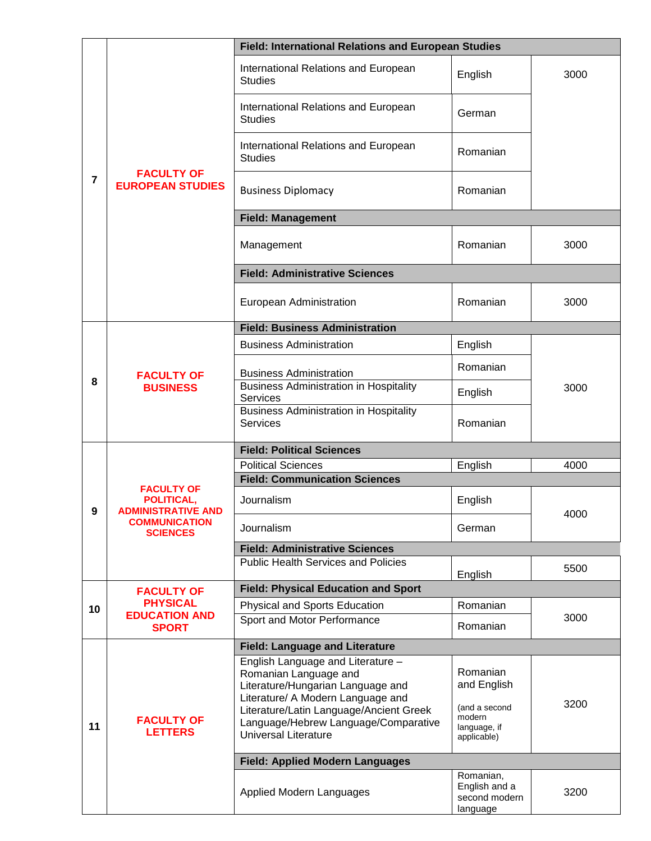|    | <b>FACULTY OF</b><br><b>EUROPEAN STUDIES</b>                                                            | Field: International Relations and European Studies                                                                                                                                                                                                    |                                                                                   |      |  |  |
|----|---------------------------------------------------------------------------------------------------------|--------------------------------------------------------------------------------------------------------------------------------------------------------------------------------------------------------------------------------------------------------|-----------------------------------------------------------------------------------|------|--|--|
| 7  |                                                                                                         | International Relations and European<br><b>Studies</b>                                                                                                                                                                                                 | English                                                                           | 3000 |  |  |
|    |                                                                                                         | International Relations and European<br><b>Studies</b>                                                                                                                                                                                                 | German                                                                            |      |  |  |
|    |                                                                                                         | International Relations and European<br><b>Studies</b>                                                                                                                                                                                                 | Romanian                                                                          |      |  |  |
|    |                                                                                                         | <b>Business Diplomacy</b>                                                                                                                                                                                                                              | Romanian                                                                          |      |  |  |
|    |                                                                                                         | <b>Field: Management</b>                                                                                                                                                                                                                               |                                                                                   |      |  |  |
|    |                                                                                                         | Management                                                                                                                                                                                                                                             | Romanian                                                                          | 3000 |  |  |
|    |                                                                                                         | <b>Field: Administrative Sciences</b>                                                                                                                                                                                                                  |                                                                                   |      |  |  |
|    |                                                                                                         | European Administration                                                                                                                                                                                                                                | Romanian                                                                          | 3000 |  |  |
|    |                                                                                                         | <b>Field: Business Administration</b>                                                                                                                                                                                                                  |                                                                                   |      |  |  |
|    |                                                                                                         | <b>Business Administration</b>                                                                                                                                                                                                                         | English                                                                           |      |  |  |
|    | <b>FACULTY OF</b><br><b>BUSINESS</b>                                                                    |                                                                                                                                                                                                                                                        | Romanian                                                                          | 3000 |  |  |
| 8  |                                                                                                         | <b>Business Administration</b><br><b>Business Administration in Hospitality</b><br>Services                                                                                                                                                            | English                                                                           |      |  |  |
|    |                                                                                                         | <b>Business Administration in Hospitality</b><br><b>Services</b>                                                                                                                                                                                       | Romanian                                                                          |      |  |  |
|    | <b>FACULTY OF</b><br>POLITICAL,<br><b>ADMINISTRATIVE AND</b><br><b>COMMUNICATION</b><br><b>SCIENCES</b> | <b>Field: Political Sciences</b>                                                                                                                                                                                                                       |                                                                                   |      |  |  |
|    |                                                                                                         | <b>Political Sciences</b>                                                                                                                                                                                                                              | English                                                                           | 4000 |  |  |
|    |                                                                                                         | <b>Field: Communication Sciences</b>                                                                                                                                                                                                                   |                                                                                   |      |  |  |
| 9  |                                                                                                         | Journalism                                                                                                                                                                                                                                             | English                                                                           | 4000 |  |  |
|    |                                                                                                         | Journalism                                                                                                                                                                                                                                             | German                                                                            |      |  |  |
|    |                                                                                                         | <b>Field: Administrative Sciences</b>                                                                                                                                                                                                                  |                                                                                   |      |  |  |
|    |                                                                                                         | Public Health Services and Policies                                                                                                                                                                                                                    |                                                                                   | 5500 |  |  |
|    | English<br><b>Field: Physical Education and Sport</b><br><b>FACULTY OF</b>                              |                                                                                                                                                                                                                                                        |                                                                                   |      |  |  |
| 10 | <b>PHYSICAL</b><br><b>EDUCATION AND</b><br><b>SPORT</b>                                                 | Physical and Sports Education                                                                                                                                                                                                                          | Romanian                                                                          |      |  |  |
|    |                                                                                                         | Sport and Motor Performance                                                                                                                                                                                                                            | Romanian                                                                          | 3000 |  |  |
|    |                                                                                                         | <b>Field: Language and Literature</b>                                                                                                                                                                                                                  |                                                                                   |      |  |  |
| 11 | <b>FACULTY OF</b><br><b>LETTERS</b>                                                                     | English Language and Literature -<br>Romanian Language and<br>Literature/Hungarian Language and<br>Literature/ A Modern Language and<br>Literature/Latin Language/Ancient Greek<br>Language/Hebrew Language/Comparative<br><b>Universal Literature</b> | Romanian<br>and English<br>(and a second<br>modern<br>language, if<br>applicable) | 3200 |  |  |
|    |                                                                                                         | <b>Field: Applied Modern Languages</b>                                                                                                                                                                                                                 |                                                                                   |      |  |  |
|    |                                                                                                         | Applied Modern Languages                                                                                                                                                                                                                               | Romanian,<br>English and a<br>second modern<br>language                           | 3200 |  |  |